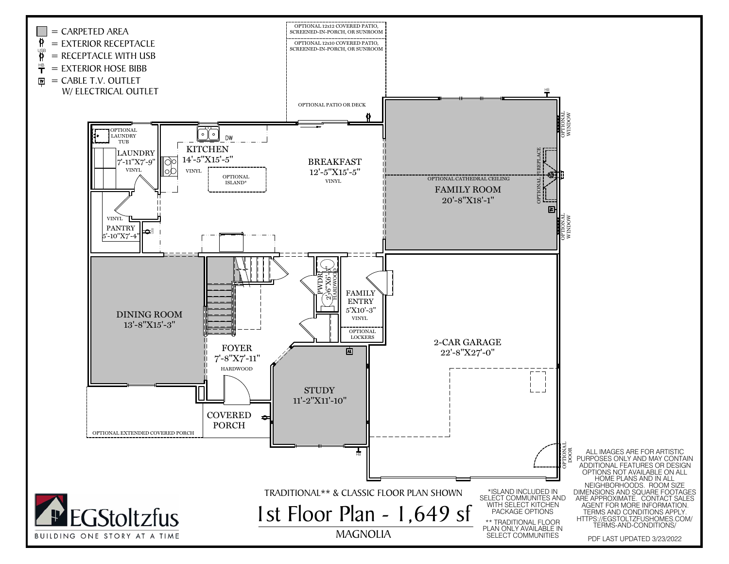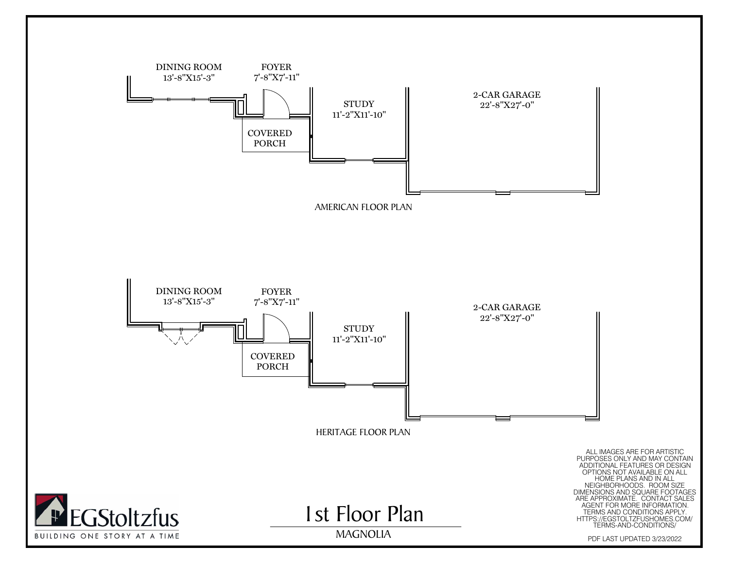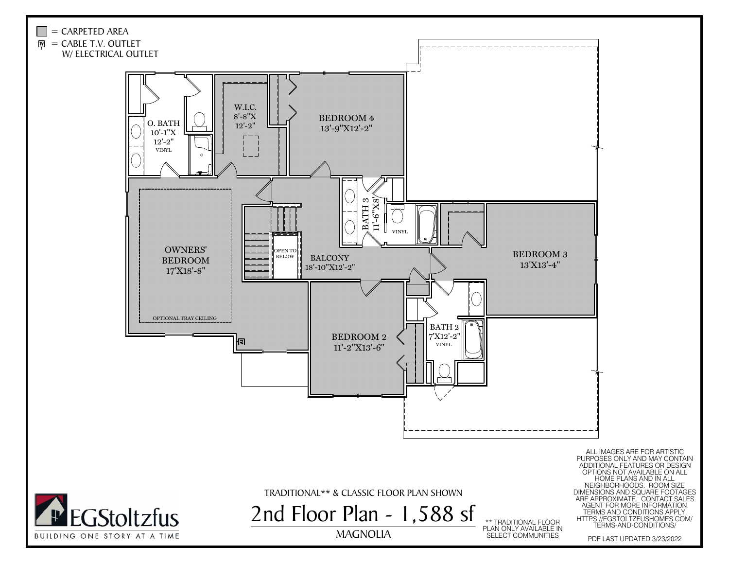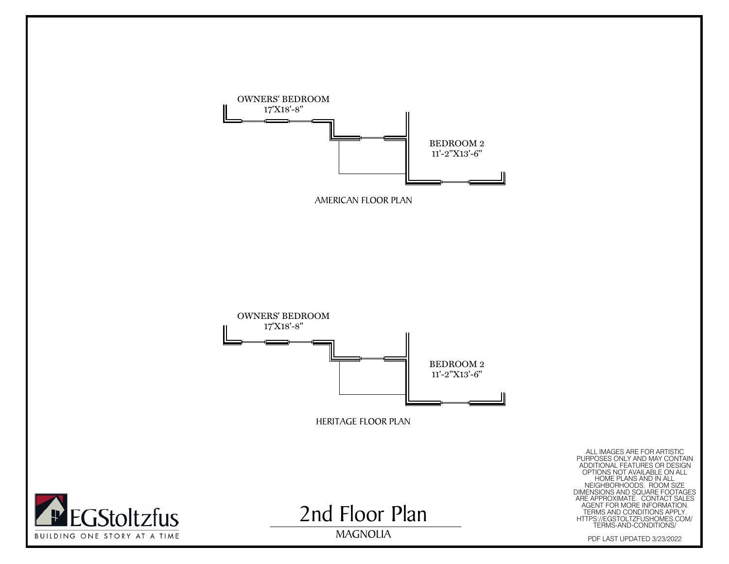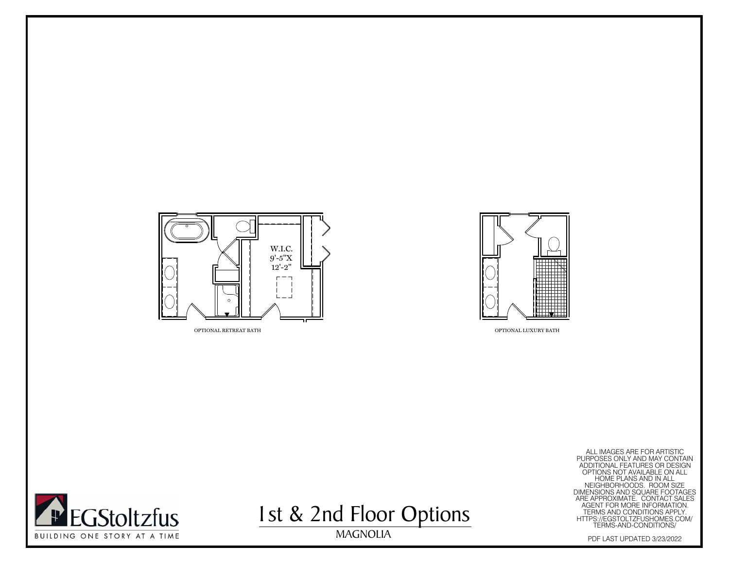



OPTIONAL LUXURY BATH

MAGNOLIA ALL IMAGES ARE FOR ARTISTIC PURPOSES ONLY AND MAY CONTAIN ADDITIONAL FEATURES OR DESIGN OPTIONS NOT AVAILABLE ON ALL HOME PLANS AND IN ALL NEIGHBORHOODS. ROOM SIZE DIMENSIONS AND SQUARE FOOTAGES ARE APPROXIMATE. CONTACT SALES AGENT FOR MORE INFORMATION. TERMS AND CONDITIONS APPLY. HTTPS://EGSTOLTZFUSHOMES.COM/ TERMS-AND-CONDITIONS/ PDF LAST UPDATED 3/23/2022



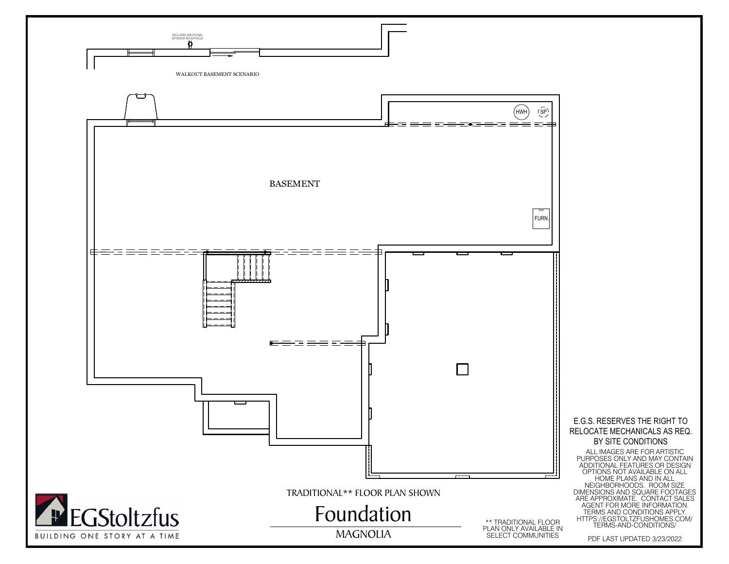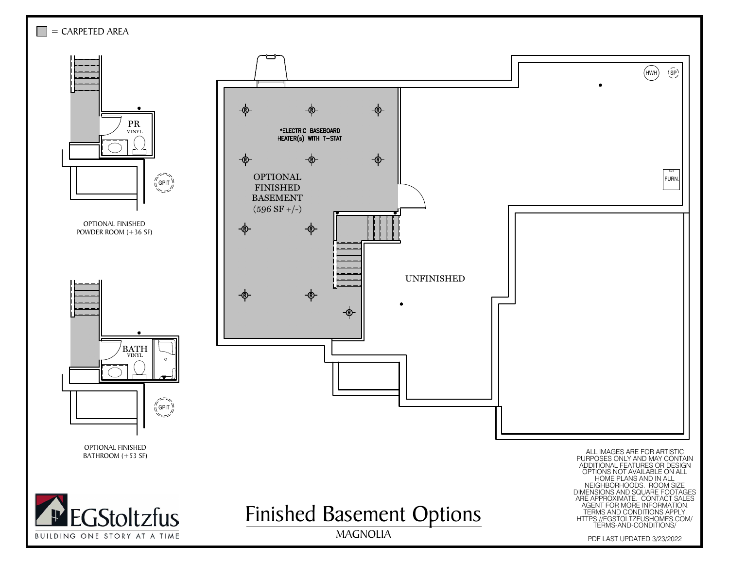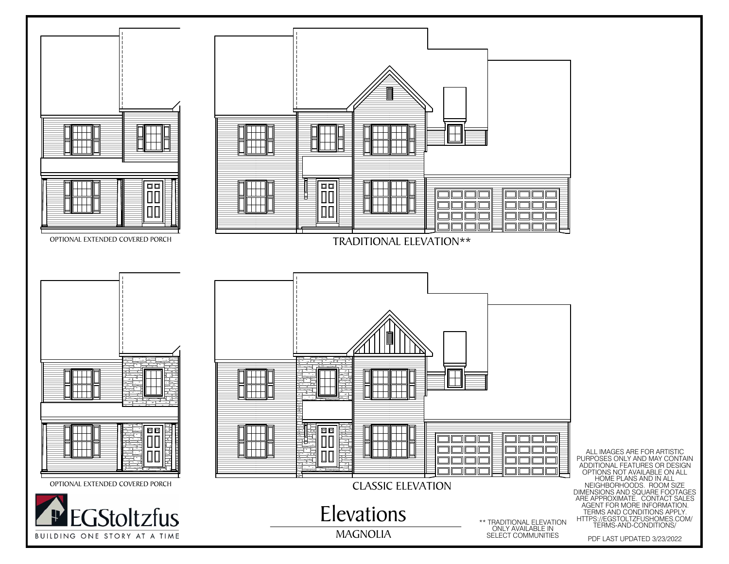